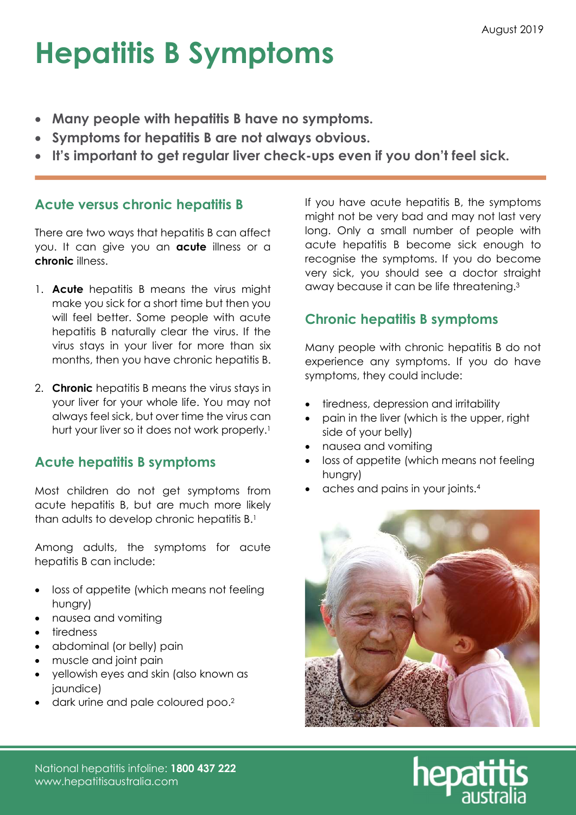# Hepatitis B Symptoms

- Many people with hepatitis B have no symptoms.
- Symptoms for hepatitis B are not always obvious.
- It's important to get regular liver check-ups even if you don't feel sick.

### Acute versus chronic hepatitis B

There are two ways that hepatitis B can affect you. It can give you an **acute** illness or a chronic illness.

- 1. Acute hepatitis B means the virus might make you sick for a short time but then you will feel better. Some people with acute hepatitis B naturally clear the virus. If the virus stays in your liver for more than six months, then you have chronic hepatitis B.
- 2. **Chronic** hepatitis B means the virus stays in your liver for your whole life. You may not always feel sick, but over time the virus can hurt your liver so it does not work properly.<sup>1</sup>

### Acute hepatitis B symptoms

Most children do not get symptoms from acute hepatitis B, but are much more likely than adults to develop chronic hepatitis B.<sup>1</sup>

Among adults, the symptoms for acute hepatitis B can include:

- loss of appetite (which means not feeling hungry)
- nausea and vomiting
- tiredness
- abdominal (or belly) pain
- muscle and joint pain
- yellowish eyes and skin (also known as jaundice)
- dark urine and pale coloured poo.<sup>2</sup>

If you have acute hepatitis B, the symptoms might not be very bad and may not last very long. Only a small number of people with acute hepatitis B become sick enough to recognise the symptoms. If you do become very sick, you should see a doctor straight away because it can be life threatening.<sup>3</sup>

## Chronic hepatitis B symptoms

Many people with chronic hepatitis B do not experience any symptoms. If you do have symptoms, they could include:

- tiredness, depression and irritability
- pain in the liver (which is the upper, right side of your belly)
- nausea and vomiting
- loss of appetite (which means not feeling hungry)
- aches and pains in your joints.<sup>4</sup>